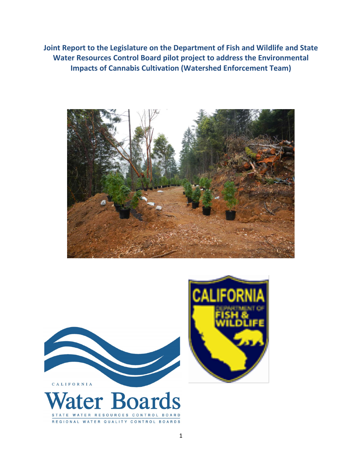**Joint Report to the Legislature on the Department of Fish and Wildlife and State Water Resources Control Board pilot project to address the Environmental Impacts of Cannabis Cultivation (Watershed Enforcement Team)**





STATE WATER RESOURCES CONTROL BOARD REGIONAL WATER QUALITY CONTROL BOARDS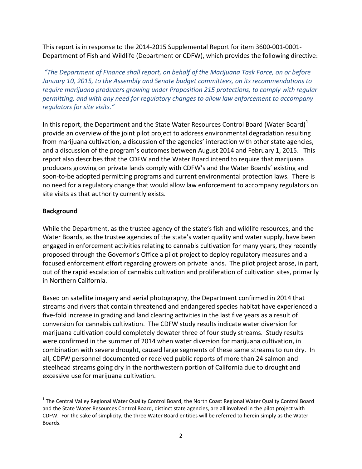This report is in response to the 2014-2015 Supplemental Report for item 3600-001-0001- Department of Fish and Wildlife (Department or CDFW), which provides the following directive:

*"The Department of Finance shall report, on behalf of the Marijuana Task Force, on or before January 10, 2015, to the Assembly and Senate budget committees, on its recommendations to require marijuana producers growing under Proposition 215 protections, to comply with regular permitting, and with any need for regulatory changes to allow law enforcement to accompany regulators for site visits."*

In this report, the Department and the State Water Resources Control Board (Water Board)<sup>[1](#page-1-0)</sup> provide an overview of the joint pilot project to address environmental degradation resulting from marijuana cultivation, a discussion of the agencies' interaction with other state agencies, and a discussion of the program's outcomes between August 2014 and February 1, 2015. This report also describes that the CDFW and the Water Board intend to require that marijuana producers growing on private lands comply with CDFW's and the Water Boards' existing and soon-to-be adopted permitting programs and current environmental protection laws. There is no need for a regulatory change that would allow law enforcement to accompany regulators on site visits as that authority currently exists.

### **Background**

While the Department, as the trustee agency of the state's fish and wildlife resources, and the Water Boards, as the trustee agencies of the state's water quality and water supply, have been engaged in enforcement activities relating to cannabis cultivation for many years, they recently proposed through the Governor's Office a pilot project to deploy regulatory measures and a focused enforcement effort regarding growers on private lands. The pilot project arose, in part, out of the rapid escalation of cannabis cultivation and proliferation of cultivation sites, primarily in Northern California.

Based on satellite imagery and aerial photography, the Department confirmed in 2014 that streams and rivers that contain threatened and endangered species habitat have experienced a five-fold increase in grading and land clearing activities in the last five years as a result of conversion for cannabis cultivation. The CDFW study results indicate water diversion for marijuana cultivation could completely dewater three of four study streams. Study results were confirmed in the summer of 2014 when water diversion for marijuana cultivation, in combination with severe drought, caused large segments of these same streams to run dry. In all, CDFW personnel documented or received public reports of more than 24 salmon and steelhead streams going dry in the northwestern portion of California due to drought and excessive use for marijuana cultivation.

<span id="page-1-0"></span><sup>&</sup>lt;sup>1</sup> The Central Valley Regional Water Quality Control Board, the North Coast Regional Water Quality Control Board and the State Water Resources Control Board, distinct state agencies, are all involved in the pilot project with CDFW. For the sake of simplicity, the three Water Board entities will be referred to herein simply as the Water Boards.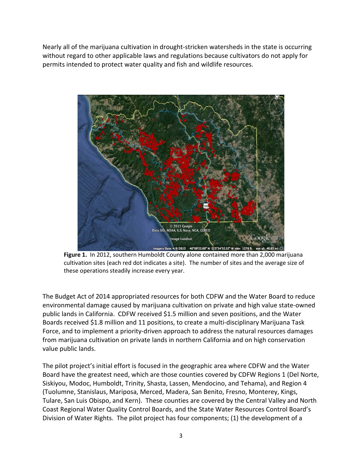Nearly all of the marijuana cultivation in drought-stricken watersheds in the state is occurring without regard to other applicable laws and regulations because cultivators do not apply for permits intended to protect water quality and fish and wildlife resources.



**Figure 1.** In 2012, southern Humboldt County alone contained more than 2,000 marijuana cultivation sites (each red dot indicates a site). The number of sites and the average size of these operations steadily increase every year.

The Budget Act of 2014 appropriated resources for both CDFW and the Water Board to reduce environmental damage caused by marijuana cultivation on private and high value state-owned public lands in California. CDFW received \$1.5 million and seven positions, and the Water Boards received \$1.8 million and 11 positions, to create a multi-disciplinary Marijuana Task Force, and to implement a priority-driven approach to address the natural resources damages from marijuana cultivation on private lands in northern California and on high conservation value public lands.

The pilot project's initial effort is focused in the geographic area where CDFW and the Water Board have the greatest need, which are those counties covered by CDFW Regions 1 (Del Norte, Siskiyou, Modoc, Humboldt, Trinity, Shasta, Lassen, Mendocino, and Tehama), and Region 4 (Tuolumne, Stanislaus, Mariposa, Merced, Madera, San Benito, Fresno, Monterey, Kings, Tulare, San Luis Obispo, and Kern). These counties are covered by the Central Valley and North Coast Regional Water Quality Control Boards, and the State Water Resources Control Board's Division of Water Rights. The pilot project has four components; (1) the development of a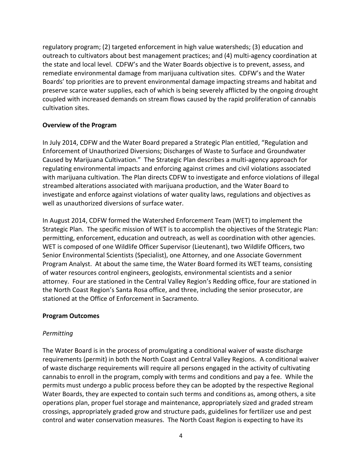regulatory program; (2) targeted enforcement in high value watersheds; (3) education and outreach to cultivators about best management practices; and (4) multi-agency coordination at the state and local level. CDFW's and the Water Boards objective is to prevent, assess, and remediate environmental damage from marijuana cultivation sites. CDFW's and the Water Boards' top priorities are to prevent environmental damage impacting streams and habitat and preserve scarce water supplies, each of which is being severely afflicted by the ongoing drought coupled with increased demands on stream flows caused by the rapid proliferation of cannabis cultivation sites.

### **Overview of the Program**

In July 2014, CDFW and the Water Board prepared a Strategic Plan entitled, "Regulation and Enforcement of Unauthorized Diversions; Discharges of Waste to Surface and Groundwater Caused by Marijuana Cultivation." The Strategic Plan describes a multi-agency approach for regulating environmental impacts and enforcing against crimes and civil violations associated with marijuana cultivation. The Plan directs CDFW to investigate and enforce violations of illegal streambed alterations associated with marijuana production, and the Water Board to investigate and enforce against violations of water quality laws, regulations and objectives as well as unauthorized diversions of surface water.

In August 2014, CDFW formed the Watershed Enforcement Team (WET) to implement the Strategic Plan. The specific mission of WET is to accomplish the objectives of the Strategic Plan: permitting, enforcement, education and outreach, as well as coordination with other agencies. WET is composed of one Wildlife Officer Supervisor (Lieutenant), two Wildlife Officers, two Senior Environmental Scientists (Specialist), one Attorney, and one Associate Government Program Analyst. At about the same time, the Water Board formed its WET teams, consisting of water resources control engineers, geologists, environmental scientists and a senior attorney. Four are stationed in the Central Valley Region's Redding office, four are stationed in the North Coast Region's Santa Rosa office, and three, including the senior prosecutor, are stationed at the Office of Enforcement in Sacramento.

## **Program Outcomes**

## *Permitting*

The Water Board is in the process of promulgating a conditional waiver of waste discharge requirements (permit) in both the North Coast and Central Valley Regions. A conditional waiver of waste discharge requirements will require all persons engaged in the activity of cultivating cannabis to enroll in the program, comply with terms and conditions and pay a fee. While the permits must undergo a public process before they can be adopted by the respective Regional Water Boards, they are expected to contain such terms and conditions as, among others, a site operations plan, proper fuel storage and maintenance, appropriately sized and graded stream crossings, appropriately graded grow and structure pads, guidelines for fertilizer use and pest control and water conservation measures. The North Coast Region is expecting to have its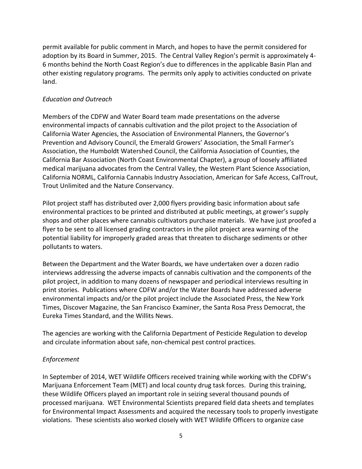permit available for public comment in March, and hopes to have the permit considered for adoption by its Board in Summer, 2015. The Central Valley Region's permit is approximately 4- 6 months behind the North Coast Region's due to differences in the applicable Basin Plan and other existing regulatory programs. The permits only apply to activities conducted on private land.

## *Education and Outreach*

Members of the CDFW and Water Board team made presentations on the adverse environmental impacts of cannabis cultivation and the pilot project to the Association of California Water Agencies, the Association of Environmental Planners, the Governor's Prevention and Advisory Council, the Emerald Growers' Association, the Small Farmer's Association, the Humboldt Watershed Council, the California Association of Counties, the California Bar Association (North Coast Environmental Chapter), a group of loosely affiliated medical marijuana advocates from the Central Valley, the Western Plant Science Association, California NORML, California Cannabis Industry Association, American for Safe Access, CalTrout, Trout Unlimited and the Nature Conservancy.

Pilot project staff has distributed over 2,000 flyers providing basic information about safe environmental practices to be printed and distributed at public meetings, at grower's supply shops and other places where cannabis cultivators purchase materials. We have just proofed a flyer to be sent to all licensed grading contractors in the pilot project area warning of the potential liability for improperly graded areas that threaten to discharge sediments or other pollutants to waters.

Between the Department and the Water Boards, we have undertaken over a dozen radio interviews addressing the adverse impacts of cannabis cultivation and the components of the pilot project, in addition to many dozens of newspaper and periodical interviews resulting in print stories. Publications where CDFW and/or the Water Boards have addressed adverse environmental impacts and/or the pilot project include the Associated Press, the New York Times, Discover Magazine, the San Francisco Examiner, the Santa Rosa Press Democrat, the Eureka Times Standard, and the Willits News.

The agencies are working with the California Department of Pesticide Regulation to develop and circulate information about safe, non-chemical pest control practices.

## *Enforcement*

In September of 2014, WET Wildlife Officers received training while working with the CDFW's Marijuana Enforcement Team (MET) and local county drug task forces. During this training, these Wildlife Officers played an important role in seizing several thousand pounds of processed marijuana. WET Environmental Scientists prepared field data sheets and templates for Environmental Impact Assessments and acquired the necessary tools to properly investigate violations. These scientists also worked closely with WET Wildlife Officers to organize case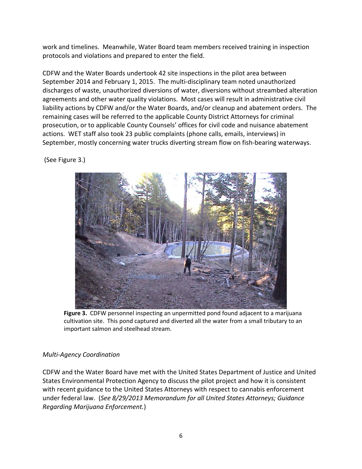work and timelines. Meanwhile, Water Board team members received training in inspection protocols and violations and prepared to enter the field.

CDFW and the Water Boards undertook 42 site inspections in the pilot area between September 2014 and February 1, 2015. The multi-disciplinary team noted unauthorized discharges of waste, unauthorized diversions of water, diversions without streambed alteration agreements and other water quality violations. Most cases will result in administrative civil liability actions by CDFW and/or the Water Boards, and/or cleanup and abatement orders. The remaining cases will be referred to the applicable County District Attorneys for criminal prosecution, or to applicable County Counsels' offices for civil code and nuisance abatement actions. WET staff also took 23 public complaints (phone calls, emails, interviews) in September, mostly concerning water trucks diverting stream flow on fish-bearing waterways.

(See Figure 3.)



**Figure 3.** CDFW personnel inspecting an unpermitted pond found adjacent to a marijuana cultivation site. This pond captured and diverted all the water from a small tributary to an important salmon and steelhead stream.

# *Multi-Agency Coordination*

CDFW and the Water Board have met with the United States Department of Justice and United States Environmental Protection Agency to discuss the pilot project and how it is consistent with recent guidance to the United States Attorneys with respect to cannabis enforcement under federal law. (*See 8/29/2013 Memorandum for all United States Attorneys; Guidance Regarding Marijuana Enforcement.*)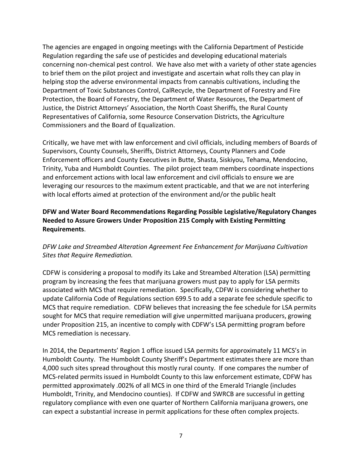The agencies are engaged in ongoing meetings with the California Department of Pesticide Regulation regarding the safe use of pesticides and developing educational materials concerning non-chemical pest control. We have also met with a variety of other state agencies to brief them on the pilot project and investigate and ascertain what rolls they can play in helping stop the adverse environmental impacts from cannabis cultivations, including the Department of Toxic Substances Control, CalRecycle, the Department of Forestry and Fire Protection, the Board of Forestry, the Department of Water Resources, the Department of Justice, the District Attorneys' Association, the North Coast Sheriffs, the Rural County Representatives of California, some Resource Conservation Districts, the Agriculture Commissioners and the Board of Equalization.

Critically, we have met with law enforcement and civil officials, including members of Boards of Supervisors, County Counsels, Sheriffs, District Attorneys, County Planners and Code Enforcement officers and County Executives in Butte, Shasta, Siskiyou, Tehama, Mendocino, Trinity, Yuba and Humboldt Counties. The pilot project team members coordinate inspections and enforcement actions with local law enforcement and civil officials to ensure we are leveraging our resources to the maximum extent practicable, and that we are not interfering with local efforts aimed at protection of the environment and/or the public healt

## **DFW and Water Board Recommendations Regarding Possible Legislative/Regulatory Changes Needed to Assure Growers Under Proposition 215 Comply with Existing Permitting Requirements**.

# *DFW Lake and Streambed Alteration Agreement Fee Enhancement for Marijuana Cultivation Sites that Require Remediation.*

CDFW is considering a proposal to modify its Lake and Streambed Alteration (LSA) permitting program by increasing the fees that marijuana growers must pay to apply for LSA permits associated with MCS that require remediation. Specifically, CDFW is considering whether to update California Code of Regulations section 699.5 to add a separate fee schedule specific to MCS that require remediation. CDFW believes that increasing the fee schedule for LSA permits sought for MCS that require remediation will give unpermitted marijuana producers, growing under Proposition 215, an incentive to comply with CDFW's LSA permitting program before MCS remediation is necessary.

In 2014, the Departments' Region 1 office issued LSA permits for approximately 11 MCS's in Humboldt County. The Humboldt County Sheriff's Department estimates there are more than 4,000 such sites spread throughout this mostly rural county. If one compares the number of MCS-related permits issued in Humboldt County to this law enforcement estimate, CDFW has permitted approximately .002% of all MCS in one third of the Emerald Triangle (includes Humboldt, Trinity, and Mendocino counties). If CDFW and SWRCB are successful in getting regulatory compliance with even one quarter of Northern California marijuana growers, one can expect a substantial increase in permit applications for these often complex projects.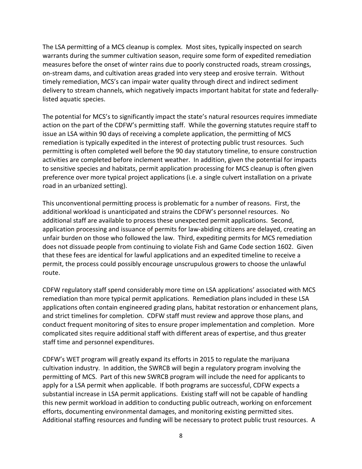The LSA permitting of a MCS cleanup is complex. Most sites, typically inspected on search warrants during the summer cultivation season, require some form of expedited remediation measures before the onset of winter rains due to poorly constructed roads, stream crossings, on-stream dams, and cultivation areas graded into very steep and erosive terrain. Without timely remediation, MCS's can impair water quality through direct and indirect sediment delivery to stream channels, which negatively impacts important habitat for state and federallylisted aquatic species.

The potential for MCS's to significantly impact the state's natural resources requires immediate action on the part of the CDFW's permitting staff. While the governing statutes require staff to issue an LSA within 90 days of receiving a complete application, the permitting of MCS remediation is typically expedited in the interest of protecting public trust resources. Such permitting is often completed well before the 90 day statutory timeline, to ensure construction activities are completed before inclement weather. In addition, given the potential for impacts to sensitive species and habitats, permit application processing for MCS cleanup is often given preference over more typical project applications (i.e. a single culvert installation on a private road in an urbanized setting).

This unconventional permitting process is problematic for a number of reasons. First, the additional workload is unanticipated and strains the CDFW's personnel resources. No additional staff are available to process these unexpected permit applications. Second, application processing and issuance of permits for law-abiding citizens are delayed, creating an unfair burden on those who followed the law. Third, expediting permits for MCS remediation does not dissuade people from continuing to violate Fish and Game Code section 1602. Given that these fees are identical for lawful applications and an expedited timeline to receive a permit, the process could possibly encourage unscrupulous growers to choose the unlawful route.

CDFW regulatory staff spend considerably more time on LSA applications' associated with MCS remediation than more typical permit applications. Remediation plans included in these LSA applications often contain engineered grading plans, habitat restoration or enhancement plans, and strict timelines for completion. CDFW staff must review and approve those plans, and conduct frequent monitoring of sites to ensure proper implementation and completion. More complicated sites require additional staff with different areas of expertise, and thus greater staff time and personnel expenditures.

CDFW's WET program will greatly expand its efforts in 2015 to regulate the marijuana cultivation industry. In addition, the SWRCB will begin a regulatory program involving the permitting of MCS. Part of this new SWRCB program will include the need for applicants to apply for a LSA permit when applicable. If both programs are successful, CDFW expects a substantial increase in LSA permit applications. Existing staff will not be capable of handling this new permit workload in addition to conducting public outreach, working on enforcement efforts, documenting environmental damages, and monitoring existing permitted sites. Additional staffing resources and funding will be necessary to protect public trust resources. A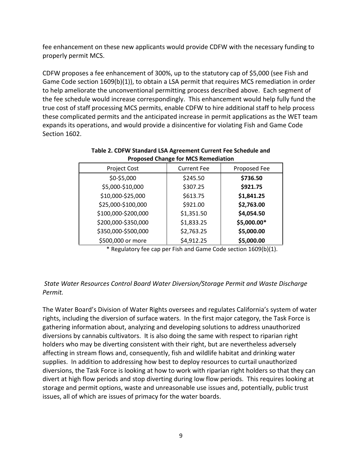fee enhancement on these new applicants would provide CDFW with the necessary funding to properly permit MCS.

CDFW proposes a fee enhancement of 300%, up to the statutory cap of \$5,000 (see Fish and Game Code section 1609(b)(1)), to obtain a LSA permit that requires MCS remediation in order to help ameliorate the unconventional permitting process described above. Each segment of the fee schedule would increase correspondingly. This enhancement would help fully fund the true cost of staff processing MCS permits, enable CDFW to hire additional staff to help process these complicated permits and the anticipated increase in permit applications as the WET team expands its operations, and would provide a disincentive for violating Fish and Game Code Section 1602.

| Project Cost        | <b>Current Fee</b> | Proposed Fee |
|---------------------|--------------------|--------------|
| \$0-\$5,000         | \$245.50           | \$736.50     |
| \$5,000-\$10,000    | \$307.25           | \$921.75     |
| \$10,000-\$25,000   | \$613.75           | \$1,841.25   |
| \$25,000-\$100,000  | \$921.00           | \$2,763.00   |
| \$100,000-\$200,000 | \$1,351.50         | \$4,054.50   |
| \$200,000-\$350,000 | \$1,833.25         | \$5,000.00*  |
| \$350,000-\$500,000 | \$2,763.25         | \$5,000.00   |
| \$500,000 or more   | \$4,912.25         | \$5,000.00   |

#### **Table 2. CDFW Standard LSA Agreement Current Fee Schedule and Proposed Change for MCS Remediation**

\* Regulatory fee cap per Fish and Game Code section 1609(b)(1).

## *State Water Resources Control Board Water Diversion/Storage Permit and Waste Discharge Permit.*

The Water Board's Division of Water Rights oversees and regulates California's system of water rights, including the diversion of surface waters. In the first major category, the Task Force is gathering information about, analyzing and developing solutions to address unauthorized diversions by cannabis cultivators. It is also doing the same with respect to riparian right holders who may be diverting consistent with their right, but are nevertheless adversely affecting in stream flows and, consequently, fish and wildlife habitat and drinking water supplies. In addition to addressing how best to deploy resources to curtail unauthorized diversions, the Task Force is looking at how to work with riparian right holders so that they can divert at high flow periods and stop diverting during low flow periods. This requires looking at storage and permit options, waste and unreasonable use issues and, potentially, public trust issues, all of which are issues of primacy for the water boards.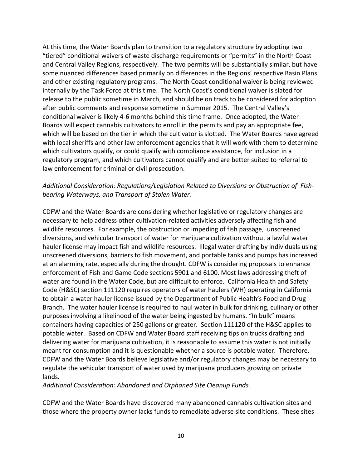At this time, the Water Boards plan to transition to a regulatory structure by adopting two "tiered" conditional waivers of waste discharge requirements or "permits" in the North Coast and Central Valley Regions, respectively. The two permits will be substantially similar, but have some nuanced differences based primarily on differences in the Regions' respective Basin Plans and other existing regulatory programs. The North Coast conditional waiver is being reviewed internally by the Task Force at this time. The North Coast's conditional waiver is slated for release to the public sometime in March, and should be on track to be considered for adoption after public comments and response sometime in Summer 2015. The Central Valley's conditional waiver is likely 4-6 months behind this time frame. Once adopted, the Water Boards will expect cannabis cultivators to enroll in the permits and pay an appropriate fee, which will be based on the tier in which the cultivator is slotted. The Water Boards have agreed with local sheriffs and other law enforcement agencies that it will work with them to determine which cultivators qualify, or could qualify with compliance assistance, for inclusion in a regulatory program, and which cultivators cannot qualify and are better suited to referral to law enforcement for criminal or civil prosecution.

## *Additional Consideration: Regulations/Legislation Related to Diversions or Obstruction of Fishbearing Waterways, and Transport of Stolen Water.*

CDFW and the Water Boards are considering whether legislative or regulatory changes are necessary to help address other cultivation-related activities adversely affecting fish and wildlife resources. For example, the obstruction or impeding of fish passage, unscreened diversions, and vehicular transport of water for marijuana cultivation without a lawful water hauler license may impact fish and wildlife resources. Illegal water drafting by individuals using unscreened diversions, barriers to fish movement, and portable tanks and pumps has increased at an alarming rate, especially during the drought. CDFW is considering proposals to enhance enforcement of Fish and Game Code sections 5901 and 6100. Most laws addressing theft of water are found in the Water Code, but are difficult to enforce. California Health and Safety Code (H&SC) section 111120 requires operators of water haulers (WH) operating in California to obtain a water hauler license issued by the Department of Public Health's Food and Drug Branch. The water hauler license is required to haul water in bulk for drinking, culinary or other purposes involving a likelihood of the water being ingested by humans. "In bulk" means containers having capacities of 250 gallons or greater. Section 111120 of the H&SC applies to potable water. Based on CDFW and Water Board staff receiving tips on trucks drafting and delivering water for marijuana cultivation, it is reasonable to assume this water is not initially meant for consumption and it is questionable whether a source is potable water. Therefore, CDFW and the Water Boards believe legislative and/or regulatory changes may be necessary to regulate the vehicular transport of water used by marijuana producers growing on private lands.

*Additional Consideration: Abandoned and Orphaned Site Cleanup Funds.*

CDFW and the Water Boards have discovered many abandoned cannabis cultivation sites and those where the property owner lacks funds to remediate adverse site conditions. These sites